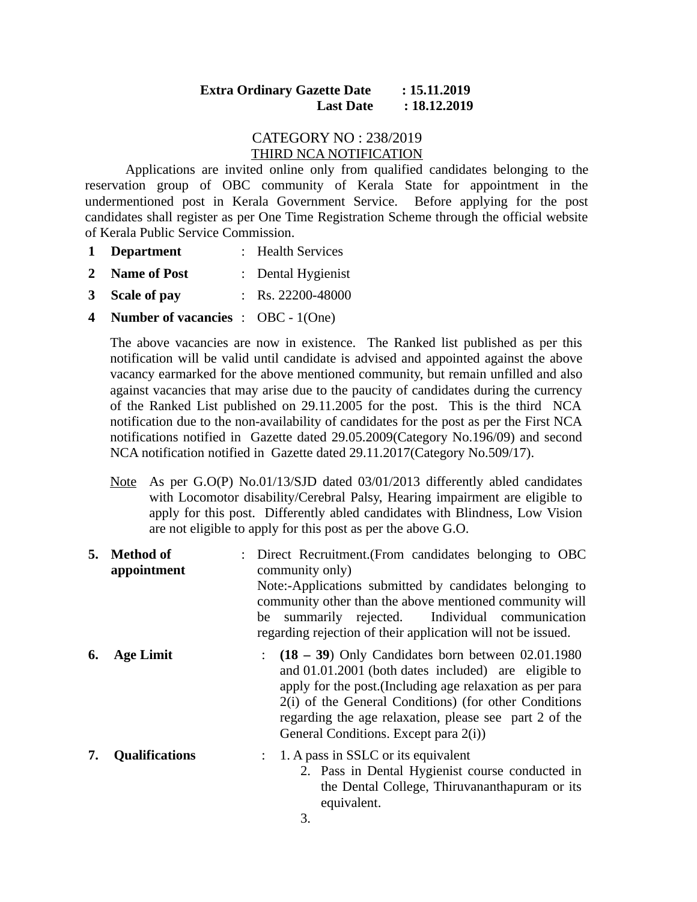## **Extra Ordinary Gazette Date : 15.11.2019 Last Date : 18.12.2019**

## CATEGORY NO : 238/2019 THIRD NCA NOTIFICATION

Applications are invited online only from qualified candidates belonging to the reservation group of OBC community of Kerala State for appointment in the undermentioned post in Kerala Government Service. Before applying for the post candidates shall register as per One Time Registration Scheme through the official website of Kerala Public Service Commission.

- **1 Department** : Health Services
- **2 Name of Post** : Dental Hygienist
- **3 Scale of pay** : Rs. 22200-48000
- **4 Number of vacancies** : OBC 1(One)

The above vacancies are now in existence. The Ranked list published as per this notification will be valid until candidate is advised and appointed against the above vacancy earmarked for the above mentioned community, but remain unfilled and also against vacancies that may arise due to the paucity of candidates during the currency of the Ranked List published on 29.11.2005 for the post. This is the third NCA notification due to the non-availability of candidates for the post as per the First NCA notifications notified in Gazette dated 29.05.2009(Category No.196/09) and second NCA notification notified in Gazette dated 29.11.2017(Category No.509/17).

- Note As per G.O(P) No.01/13/SJD dated 03/01/2013 differently abled candidates with Locomotor disability/Cerebral Palsy, Hearing impairment are eligible to apply for this post. Differently abled candidates with Blindness, Low Vision are not eligible to apply for this post as per the above G.O.
- **5. Method of appointment** : Direct Recruitment.(From candidates belonging to OBC community only) Note:-Applications submitted by candidates belonging to community other than the above mentioned community will be summarily rejected. Individual communication regarding rejection of their application will not be issued. **6. Age Limit** : **(18 – 39**) Only Candidates born between 02.01.1980 and 01.01.2001 (both dates included) are eligible to apply for the post.(Including age relaxation as per para 2(i) of the General Conditions) (for other Conditions regarding the age relaxation, please see part 2 of the

General Conditions. Except para 2(i))

- **7. Qualifications** : 1. A pass in SSLC or its equivalent 2. Pass in Dental Hygienist course conducted in
	- the Dental College, Thiruvananthapuram or its equivalent.
	- 3.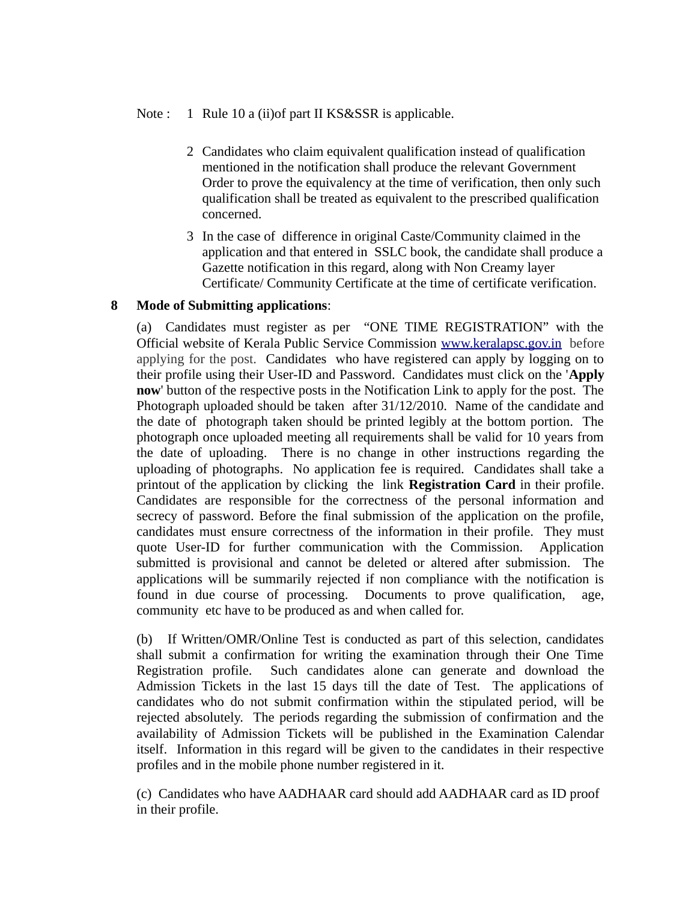## Note : 1 Rule 10 a (ii) of part II KS&SSR is applicable.

- 2 Candidates who claim equivalent qualification instead of qualification mentioned in the notification shall produce the relevant Government Order to prove the equivalency at the time of verification, then only such qualification shall be treated as equivalent to the prescribed qualification concerned.
- 3 In the case of difference in original Caste/Community claimed in the application and that entered in SSLC book, the candidate shall produce a Gazette notification in this regard, along with Non Creamy layer Certificate/ Community Certificate at the time of certificate verification.

## **8 Mode of Submitting applications**:

(a) Candidates must register as per "ONE TIME REGISTRATION" with the Official website of Kerala Public Service Commission [www.keralapsc.gov.in](http://www.keralapsc.gov.in/)before applying for the post. Candidates who have registered can apply by logging on to their profile using their User-ID and Password. Candidates must click on the '**Apply now**' button of the respective posts in the Notification Link to apply for the post. The Photograph uploaded should be taken after 31/12/2010. Name of the candidate and the date of photograph taken should be printed legibly at the bottom portion. The photograph once uploaded meeting all requirements shall be valid for 10 years from the date of uploading. There is no change in other instructions regarding the uploading of photographs. No application fee is required. Candidates shall take a printout of the application by clicking the link **Registration Card** in their profile. Candidates are responsible for the correctness of the personal information and secrecy of password. Before the final submission of the application on the profile, candidates must ensure correctness of the information in their profile. They must quote User-ID for further communication with the Commission. Application submitted is provisional and cannot be deleted or altered after submission. The applications will be summarily rejected if non compliance with the notification is found in due course of processing. Documents to prove qualification, age, community etc have to be produced as and when called for.

(b) If Written/OMR/Online Test is conducted as part of this selection, candidates shall submit a confirmation for writing the examination through their One Time Registration profile. Such candidates alone can generate and download the Admission Tickets in the last 15 days till the date of Test. The applications of candidates who do not submit confirmation within the stipulated period, will be rejected absolutely. The periods regarding the submission of confirmation and the availability of Admission Tickets will be published in the Examination Calendar itself. Information in this regard will be given to the candidates in their respective profiles and in the mobile phone number registered in it.

(c) Candidates who have AADHAAR card should add AADHAAR card as ID proof in their profile.